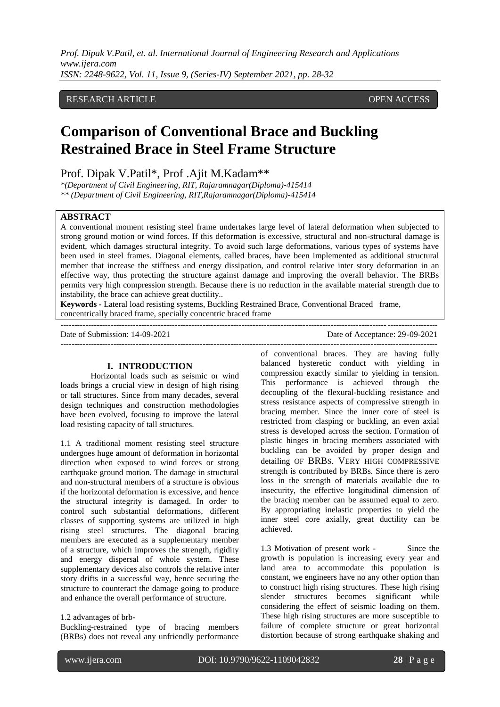## RESEARCH ARTICLE **CONSERVERS** OPEN ACCESS

# **Comparison of Conventional Brace and Buckling Restrained Brace in Steel Frame Structure**

Prof. Dipak V.Patil\*, Prof .Ajit M.Kadam\*\*

*\*(Department of Civil Engineering, RIT, Rajaramnagar(Diploma)-415414 \*\* (Department of Civil Engineering, RIT,Rajaramnagar(Diploma)-415414*

### **ABSTRACT**

A conventional moment resisting steel frame undertakes large level of lateral deformation when subjected to strong ground motion or wind forces. If this deformation is excessive, structural and non-structural damage is evident, which damages structural integrity. To avoid such large deformations, various types of systems have been used in steel frames. Diagonal elements, called braces, have been implemented as additional structural member that increase the stiffness and energy dissipation, and control relative inter story deformation in an effective way, thus protecting the structure against damage and improving the overall behavior. The BRBs permits very high compression strength. Because there is no reduction in the available material strength due to instability, the brace can achieve great ductility..

**Keywords -** Lateral load resisting systems, Buckling Restrained Brace, Conventional Braced frame, concentrically braced frame, specially concentric braced frame ---------------------------------------------------------------------------------------------------------------------------------------

Date of Submission: 14-09-2021 Date of Acceptance: 29-09-2021 ---------------------------------------------------------------------------------------------------------------------------------------

## **I. INTRODUCTION**

Horizontal loads such as seismic or wind loads brings a crucial view in design of high rising or tall structures. Since from many decades, several design techniques and construction methodologies have been evolved, focusing to improve the lateral load resisting capacity of tall structures.

1.1 A traditional moment resisting steel structure undergoes huge amount of deformation in horizontal direction when exposed to wind forces or strong earthquake ground motion. The damage in structural and non-structural members of a structure is obvious if the horizontal deformation is excessive, and hence the structural integrity is damaged. In order to control such substantial deformations, different classes of supporting systems are utilized in high rising steel structures. The diagonal bracing members are executed as a supplementary member of a structure, which improves the strength, rigidity and energy dispersal of whole system. These supplementary devices also controls the relative inter story drifts in a successful way, hence securing the structure to counteract the damage going to produce and enhance the overall performance of structure.

Buckling-restrained type of bracing members (BRBs) does not reveal any unfriendly performance

of conventional braces. They are having fully balanced hysteretic conduct with yielding in compression exactly similar to yielding in tension. This performance is achieved through the decoupling of the flexural-buckling resistance and stress resistance aspects of compressive strength in bracing member. Since the inner core of steel is restricted from clasping or buckling, an even axial stress is developed across the section. Formation of plastic hinges in bracing members associated with buckling can be avoided by proper design and detailing OF BRBS. VERY HIGH COMPRESSIVE strength is contributed by BRBs. Since there is zero loss in the strength of materials available due to insecurity, the effective longitudinal dimension of the bracing member can be assumed equal to zero. By appropriating inelastic properties to yield the inner steel core axially, great ductility can be achieved.

1.3 Motivation of present work - Since the growth is population is increasing every year and land area to accommodate this population is constant, we engineers have no any other option than to construct high rising structures. These high rising slender structures becomes significant while considering the effect of seismic loading on them. These high rising structures are more susceptible to failure of complete structure or great horizontal distortion because of strong earthquake shaking and

<sup>1.2</sup> advantages of brb-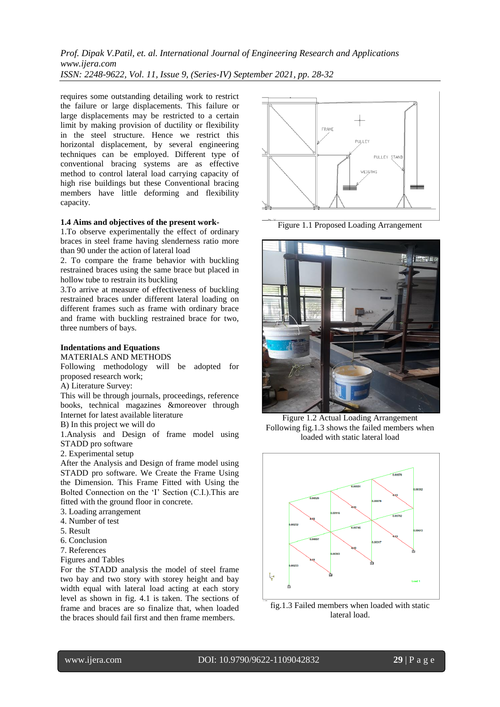requires some outstanding detailing work to restrict the failure or large displacements. This failure or large displacements may be restricted to a certain limit by making provision of ductility or flexibility in the steel structure. Hence we restrict this horizontal displacement, by several engineering techniques can be employed. Different type of conventional bracing systems are as effective method to control lateral load carrying capacity of high rise buildings but these Conventional bracing members have little deforming and flexibility capacity.

#### **1.4 Aims and objectives of the present work-**

1.To observe experimentally the effect of ordinary braces in steel frame having slenderness ratio more than 90 under the action of lateral load

2. To compare the frame behavior with buckling restrained braces using the same brace but placed in hollow tube to restrain its buckling

3.To arrive at measure of effectiveness of buckling restrained braces under different lateral loading on different frames such as frame with ordinary brace and frame with buckling restrained brace for two, three numbers of bays.

#### **Indentations and Equations**

MATERIALS AND METHODS

Following methodology will be adopted for proposed research work;

A) Literature Survey:

This will be through journals, proceedings, reference books, technical magazines &moreover through Internet for latest available literature

B) In this project we will do

1.Analysis and Design of frame model using STADD pro software

2. Experimental setup

After the Analysis and Design of frame model using STADD pro software. We Create the Frame Using the Dimension. This Frame Fitted with Using the Bolted Connection on the "I" Section (C.I.).This are fitted with the ground floor in concrete.

- 3. Loading arrangement
- 4. Number of test
- 5. Result
- 6. Conclusion
- 7. References
- Figures and Tables

For the STADD analysis the model of steel frame two bay and two story with storey height and bay width equal with lateral load acting at each story level as shown in fig. 4.1 is taken. The sections of frame and braces are so finalize that, when loaded the braces should fail first and then frame members.



Figure 1.1 Proposed Loading Arrangement



Figure 1.2 Actual Loading Arrangement Following fig.1.3 shows the failed members when loaded with static lateral load



fig.1.3 Failed members when loaded with static lateral load.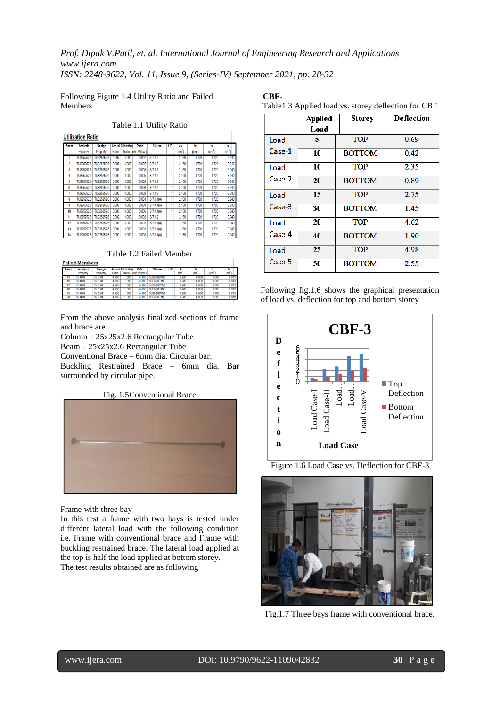Following Figure 1.4 Utility Ratio and Failed Members

#### Table 1.1 Utility Ratio

|  | <b>Utilization Ratio</b> |  |
|--|--------------------------|--|
|  |                          |  |

|                | .               |            |       |                         |               |                 |     |                    |       |       |                    |  |
|----------------|-----------------|------------|-------|-------------------------|---------------|-----------------|-----|--------------------|-------|-------|--------------------|--|
| <b>Beam</b>    | <b>Analysis</b> | Design     |       | <b>Actual Allowable</b> | Ratio         | Clause          | LIC | Ax                 | Iz.   | lv    | $\mathbf{R}$       |  |
|                | Property        | Property   | Ratio | Ratio                   | (Act./Allow.) |                 |     | (cm <sup>2</sup> ) | lam"  | (cm*  | (cm <sup>4</sup> ) |  |
|                | TUB25252.6      | TUB25252.6 | 0.007 | 1.000                   | 0.007         | $IS - 7.12$     | 1   | 2.160              | 1.720 | 1.720 | 3.040              |  |
| $\overline{2}$ | TUB25252.6      | TUB25252.6 | 0.007 | 1.000                   | 0.007         | $IS - 7.12$     | 1   | 2.160              | 1.720 | 1.720 | 3.040              |  |
| 3              | TUB25252.6      | TUB25252.6 | 0.008 | 1.000                   | 0.008         | $IS - 7.12$     | 1   | 2.160              | 1.720 | 1.720 | 3.040              |  |
| 4              | TUB25252.6      | TUB25252.6 | 0.005 | 1.000                   | 0.005         | $IS-712$        | 1   | 2.160              | 1.720 | 1.720 | 3.040              |  |
| 5              | TUB25252.6      | TUB25252.6 | 0.006 | 1.000                   | 0.006         | $IS-712$        | 1   | 2.160              | 1.720 | 1.720 | 3.040              |  |
| 6              | TUB25252.6      | TUB25252.6 | 0.006 | 1.000                   | 0.006         | $IS-7.12$       | 1   | 2.160              | 1.720 | 1.720 | 3.040              |  |
| 7              | TUB25252.6      | TUB25252.6 | 0.002 | 1.000                   | 0.002         | $IS - 7.12$     | 1   | 2.160              | 1.720 | 1.720 | 3.040              |  |
| 8              | TUB25252.6      | TUB25252.6 | 0.003 | 1.000                   | 0.003         | $IS - 7.1.1(A)$ | 1   | 2.160              | 1.720 | 1.720 | 3.040              |  |
| 9              | TUB25252.6      | TUB25252.6 | 0.003 | 1.000                   | 0.003         | $IS - 7.1.1(A)$ | 1   | 2.160              | 1.720 | 1.720 | 3.040              |  |
| 10             | TUB25252.6      | TUB25252.6 | 0.006 | 1.000                   | 0.006         | $IS - 7.1.1(A)$ | 1   | 2.160              | 1.720 | 1.720 | 3.040              |  |
| 11             | TUB25252.6      | TUB25252.6 | 0.002 | 1.000                   | 0.002         | $IS-712$        | 1   | 2.160              | 1.720 | 1.720 | 3.040              |  |
| 12             | TUB25252.6      | TUB25252.6 | 0.001 | 1.000                   | 0.001         | $IS-7.1.1(A)$   | 1   | 2.160              | 1.720 | 1.720 | 3.040              |  |
| 13             | TUB25252.6      | TUB25252.6 | 0.001 | 1.000                   | 0.001         | $IS - 7.1.1(A)$ | 1   | 2.160              | 1.720 | 1.720 | 3.040              |  |
| 14             | TUB25252.6      | TUB25252.6 | 0.003 | 1.000                   | 0.003         | $IS - 7.1.1(A)$ | 1   | 2.160              | 1.720 | 1.720 | 3.040              |  |
|                |                 |            |       |                         |               |                 |     |                    |       |       |                    |  |

#### Table 1.2 Failed Member

**Failed Members** 

From the above analysis finalized sections of frame and brace are

Column – 25x25x2.6 Rectangular Tube Beam – 25x25x2.6 Rectangular Tube

Conventional Brace – 6mm dia. Circular bar.

Buckling Restrained Brace – 6mm dia. Bar surrounded by circular pipe.

Fig. 1.5Conventional Brace



Frame with three bay-

In this test a frame with two bays is tested under different lateral load with the following condition i.e. Frame with conventional brace and Frame with buckling restrained brace. The lateral load applied at the top is half the load applied at bottom storey. The test results obtained are as following

**CBF-**

Table1.3 Applied load vs. storey deflection for CBF

|        | <b>Applied</b> | <b>Storey</b> | <b>Deflection</b> |  |
|--------|----------------|---------------|-------------------|--|
|        | Load           |               |                   |  |
| Load   | 5              | <b>TOP</b>    | 0.69              |  |
| Case-1 | 10             | <b>BOTTOM</b> | 0.42              |  |
| Load   | 10             | <b>TOP</b>    | 2.35              |  |
| Case-2 | 20             | <b>BOTTOM</b> | 0.89              |  |
| Load   | 15             | <b>TOP</b>    | 2.75              |  |
| Case-3 | 30             | <b>BOTTOM</b> | 1.45              |  |
| Load   | 20             | <b>TOP</b>    | 4.62              |  |
| Case-4 | 40             | <b>BOTTOM</b> | 1.90              |  |
| Load   | 25             | <b>TOP</b>    | 4.98              |  |
| Case-5 | 50             | <b>BOTTOM</b> | 2.55              |  |

Following fig.1.6 shows the graphical presentation of load vs. deflection for top and bottom storey



Figure 1.6 Load Case vs. Deflection for CBF-3



Fig.1.7 Three bays frame with conventional brace.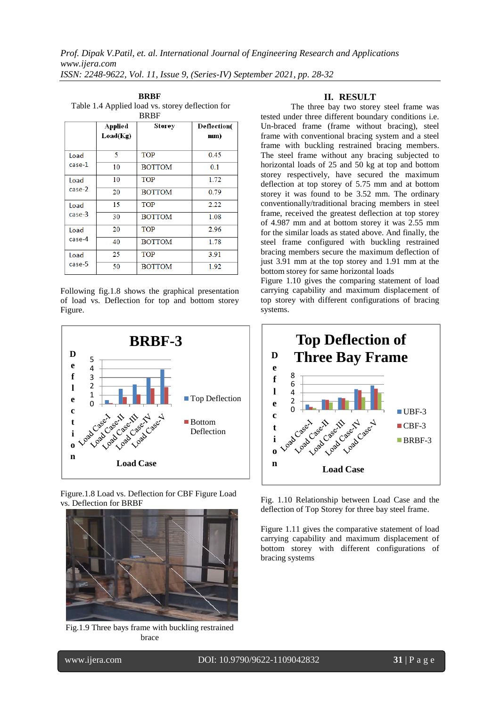| $1.0001111$ applied follows (b). Store f defined from For<br><b>BRBF</b> |                     |               |                    |  |  |
|--------------------------------------------------------------------------|---------------------|---------------|--------------------|--|--|
|                                                                          | Applied<br>Load(Kg) | Storey        | Deflection(<br>mm) |  |  |
| Load<br>case-1                                                           | 5                   | <b>TOP</b>    | 0.45               |  |  |
|                                                                          | 10                  | <b>BOTTOM</b> | 0.1                |  |  |
| Load<br>case-2                                                           | 10                  | <b>TOP</b>    | 1.72               |  |  |
|                                                                          | 20                  | <b>BOTTOM</b> | 0.79               |  |  |
| Load<br>case-3                                                           | 15                  | <b>TOP</b>    | 2.22               |  |  |
|                                                                          | 30                  | <b>BOTTOM</b> | 1.08               |  |  |
| Load<br>case-4                                                           | 20                  | <b>TOP</b>    | 2.96               |  |  |
|                                                                          | 40                  | <b>BOTTOM</b> | 1.78               |  |  |
| Load<br>case-5                                                           | 25                  | <b>TOP</b>    | 3.91               |  |  |
|                                                                          | 50                  | <b>BOTTOM</b> | 1.92               |  |  |

**BRBF** Table 1.4 Applied load vs. storey deflection for

Following fig.1.8 shows the graphical presentation of load vs. Deflection for top and bottom storey Figure.



Figure.1.8 Load vs. Deflection for CBF Figure Load vs. Deflection for BRBF



Fig.1.9 Three bays frame with buckling restrained brace

## **II. RESULT**

The three bay two storey steel frame was tested under three different boundary conditions i.e. Un-braced frame (frame without bracing), steel frame with conventional bracing system and a steel frame with buckling restrained bracing members. The steel frame without any bracing subjected to horizontal loads of 25 and 50 kg at top and bottom storey respectively, have secured the maximum deflection at top storey of 5.75 mm and at bottom storey it was found to be 3.52 mm. The ordinary conventionally/traditional bracing members in steel frame, received the greatest deflection at top storey of 4.987 mm and at bottom storey it was 2.55 mm for the similar loads as stated above. And finally, the steel frame configured with buckling restrained bracing members secure the maximum deflection of just 3.91 mm at the top storey and 1.91 mm at the bottom storey for same horizontal loads

Figure 1.10 gives the comparing statement of load carrying capability and maximum displacement of top storey with different configurations of bracing systems.



Fig. 1.10 Relationship between Load Case and the deflection of Top Storey for three bay steel frame.

Figure 1.11 gives the comparative statement of load carrying capability and maximum displacement of bottom storey with different configurations of bracing systems